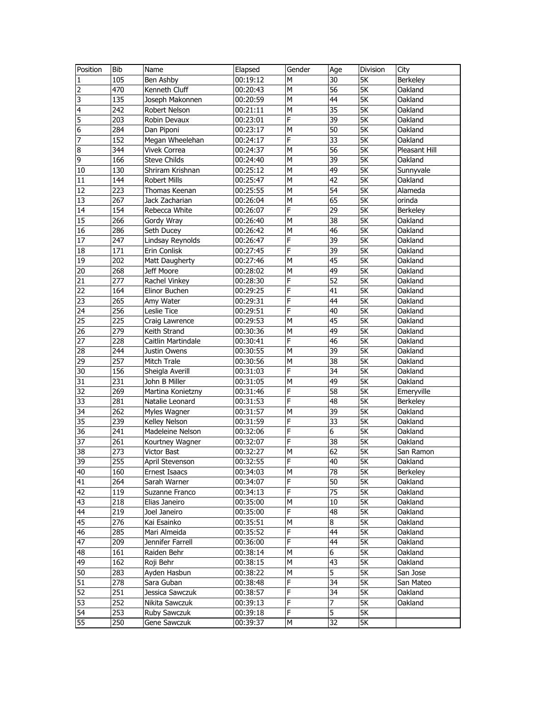| Position | Bib        | Name                          | Elapsed              | Gender | Age             | <b>Division</b>          | City            |
|----------|------------|-------------------------------|----------------------|--------|-----------------|--------------------------|-----------------|
| 1        | 105        | Ben Ashby                     | 00:19:12             | M      | 30              | 5K                       | Berkeley        |
| 2        | 470        | Kenneth Cluff                 | 00:20:43             | M      | $\overline{56}$ | $\overline{\mathsf{SK}}$ | Oakland         |
| 3        | 135        | Joseph Makonnen               | 00:20:59             | M      | 44              | 5K                       | Oakland         |
| 4        | 242        | Robert Nelson                 | 00:21:11             | M      | 35              | 5K                       | Oakland         |
| 5        | 203        | Robin Devaux                  | 00:23:01             | F      | 39              | 5K                       | Oakland         |
| 6        | 284        | Dan Piponi                    | 00:23:17             | M      | 50              | 5K                       | Oakland         |
| 7        | 152        | Megan Wheelehan               | 00:24:17             | F      | 33              | <b>5K</b>                | Oakland         |
| $\bf 8$  | 344        | Vivek Correa                  | 00:24:37             | M      | 56              | 5K                       | Pleasant Hill   |
| 9        | 166        | <b>Steve Childs</b>           | 00:24:40             | M      | $\overline{39}$ | $\overline{\mathsf{SK}}$ | Oakland         |
| 10       | 130        | Shriram Krishnan              | 00:25:12             | M      | 49              | $\overline{\mathsf{SK}}$ | Sunnyvale       |
| 11       | 144        | <b>Robert Mills</b>           | 00:25:47             | M      | $\overline{42}$ | 5K                       | Oakland         |
| 12       | 223        | Thomas Keenan                 | 00:25:55             | M      | $\overline{54}$ | $\overline{\mathsf{SK}}$ | Alameda         |
| 13       | 267        | Jack Zacharian                | 00:26:04             | M      | 65              | 5K                       | orinda          |
| 14       | 154        | Rebecca White                 | 00:26:07             | F      | 29              | 5K                       | Berkeley        |
| 15       | 266        | Gordy Wray                    | 00:26:40             | M      | 38              | 5K                       | Oakland         |
| 16       | 286        | Seth Ducey                    | 00:26:42             | M      | 46              | <b>5K</b>                | Oakland         |
| 17       | 247        | Lindsay Reynolds              | 00:26:47             | F      | 39              | 5K                       | Oakland         |
| 18       | 171        | Erin Conlisk                  | 00:27:45             | F      | 39              | 5K                       | Oakland         |
| 19       | 202        | Matt Daugherty                | 00:27:46             | M      | $\overline{45}$ | $\overline{\mathsf{SK}}$ | Oakland         |
| 20       | 268        | Jeff Moore                    | 00:28:02             | M      | 49              | $\overline{\mathsf{SK}}$ | Oakland         |
| 21       | 277        | Rachel Vinkey                 | 00:28:30             | F      | 52              | 5K                       | Oakland         |
| 22       | 164        | Elinor Buchen                 | 00:29:25             | F      | 41              | <b>5K</b>                | Oakland         |
| 23       | 265        | Amy Water                     | 00:29:31             | F      | 44              | <b>5K</b>                | Oakland         |
| 24       | 256        | Leslie Tice                   | 00:29:51             | F      | 40              | <b>5K</b>                | Oakland         |
| 25       | 225        | Craig Lawrence                | 00:29:53             | M      | 45              | $\overline{\mathsf{SK}}$ | Oakland         |
| 26       | 279        | Keith Strand                  | 00:30:36             | M      | 49              | 5K                       | Oakland         |
| 27       | 228        | Caitlin Martindale            | 00:30:41             | F      | 46              | 5K                       | Oakland         |
| 28       | 244        | Justin Owens                  | 00:30:55             | M      | 39              | 5K                       | Oakland         |
| 29       | 257        | Mitch Trale                   | 00:30:56             | M      | 38              | $\overline{\mathsf{5K}}$ | Oakland         |
| 30       | 156        | Sheigla Averill               | 00:31:03             | F      | $\overline{34}$ | 5K                       | Oakland         |
| 31       | 231        | John B Miller                 | 00:31:05             | M      | 49              | 5K                       | Oakland         |
| 32       | 269        | Martina Konietzny             | 00:31:46             | F      | 58              | <b>5K</b>                | Emeryville      |
| 33       | 281        | Natalie Leonard               | 00:31:53             | F      | 48              | <b>5K</b>                | Berkeley        |
| 34       | 262        | Myles Wagner                  | 00:31:57             | M      | 39              | $\overline{\mathsf{SK}}$ | Oakland         |
| 35       | 239        | Kelley Nelson                 | 00:31:59             | F      | $\overline{33}$ | $\overline{\mathsf{SK}}$ | Oakland         |
| 36       | 241        | Madeleine Nelson              | 00:32:06             | F      | $\overline{6}$  | $\overline{\mathsf{SK}}$ | Oakland         |
| 37       | 261        | Kourtney Wagner               | 00:32:07             | F      | 38              | 5K                       | Oakland         |
| 38       | 273        | Victor Bast                   | 00:32:27             | M      | 62              | 5K                       | San Ramon       |
| 39       | 255        | April Stevenson               | 00:32:55             | F      | 40              | 5K                       | Oakland         |
| 40       |            |                               |                      | М      | 78              | 5K                       | <b>Berkeley</b> |
| 41       | 160<br>264 | Ernest Isaacs<br>Sarah Warner | 00:34:03<br>00:34:07 | F      | 50              | 5К                       | Oakland         |
| 42       | 119        |                               |                      | F      | 75              | 5К                       | Oakland         |
| 43       | 218        | Suzanne Franco                | 00:34:13             | M      | 10              | $\overline{\mathsf{SK}}$ | Oakland         |
| 44       | 219        | Elias Janeiro<br>Joel Janeiro | 00:35:00<br>00:35:00 | F      | 48              | 5K                       |                 |
|          |            |                               |                      |        | 8               |                          | Oakland         |
| 45       | 276        | Kai Esainko                   | 00:35:51             | М<br>F |                 | 5K                       | Oakland         |
| 46       | 285        | Mari Almeida                  | 00:35:52             |        | 44              | 5K                       | Oakland         |
| 47       | 209        | Jennifer Farrell              | 00:36:00             | F      | 44<br>6         | 5K                       | Oakland         |
| 48       | 161        | Raiden Behr                   | 00:38:14             | м      |                 | 5К                       | Oakland         |
| 49       | 162        | Roji Behr                     | 00:38:15             | М      | 43              | 5К                       | Oakland         |
| 50       | 283        | Ayden Hasbun                  | 00:38:22             | М      | 5<br>34         | 5К                       | San Jose        |
| 51       | 278        | Sara Guban                    | 00:38:48             | F      | 34              | 5K                       | San Mateo       |
| 52       | 251        | Jessica Sawczuk               | 00:38:57             | F      |                 | 5K                       | Oakland         |
| 53       | 252        | Nikita Sawczuk                | 00:39:13             | F      | 7               | 5К                       | Oakland         |
| 54       | 253        | Ruby Sawczuk                  | 00:39:18             | F      | 5               | 5К                       |                 |
| 55       | 250        | Gene Sawczuk                  | 00:39:37             | M      | 32              | 5К                       |                 |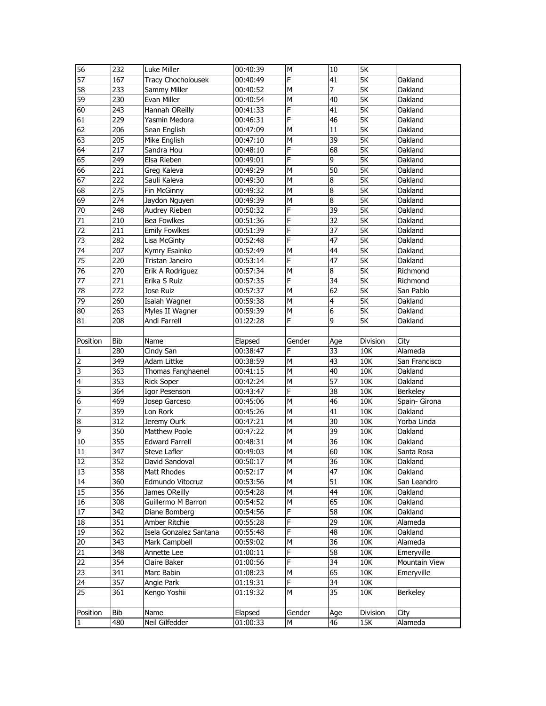| 56                       | 232              | Luke Miller               | 00:40:39            | ${\sf M}$   | $\overline{10}$ | 5K                       |                 |
|--------------------------|------------------|---------------------------|---------------------|-------------|-----------------|--------------------------|-----------------|
| 57                       | 167              | <b>Tracy Chocholousek</b> | 00:40:49            | F           | 41              | $\overline{\mathsf{SK}}$ | Oakland         |
| 58                       | 233              | Sammy Miller              | 00:40:52            | M           | 7               | $\overline{\mathsf{SK}}$ | Oakland         |
| 59                       | 230              | Evan Miller               | 00:40:54            | M           | 40              | 5K                       | Oakland         |
| 60                       | 243              | Hannah OReilly            | 00:41:33            | F           | 41              | 5K                       | Oakland         |
| 61                       | 229              | Yasmin Medora             | 00:46:31            | F           | 46              | 5K                       | Oakland         |
| 62                       | 206              | Sean English              | 00:47:09            | М           | 11              | 5K                       | Oakland         |
| 63                       | 205              | Mike English              | 00:47:10            | M           | $\overline{39}$ | <b>5K</b>                | Oakland         |
| 64                       | 217              | Sandra Hou                | 00:48:10            | F           | 68              | <b>5K</b>                | Oakland         |
| 65                       | 249              | Elsa Rieben               | 00:49:01            | F           | $\overline{9}$  | 5K                       | Oakland         |
| 66                       | $\overline{221}$ | Greg Kaleva               | 00:49:29            | M           | $\overline{50}$ | $\overline{\mathsf{5K}}$ | Oakland         |
| 67                       | 222              | Sauli Kaleva              | 00:49:30            | M           | $\bf{8}$        | 5K                       | Oakland         |
| 68                       | 275              | Fin McGinny               | 00:49:32            | M           | $\overline{8}$  | $\overline{\mathsf{SK}}$ | Oakland         |
| 69                       | 274              | Jaydon Nguyen             | 00:49:39            | M           | $\overline{8}$  | 5K                       | Oakland         |
| 70                       | 248              | Audrey Rieben             | 00:50:32            | F           | 39              | 5K                       | Oakland         |
| 71                       | 210              | <b>Bea Fowlkes</b>        | 00:51:36            | F           | 32              | 5K                       | Oakland         |
| 72                       | 211              | <b>Emily Fowlkes</b>      | 00:51:39            | F           | 37              | <b>5K</b>                | Oakland         |
| 73                       | 282              | Lisa McGinty              | 00:52:48            | F           | 47              | 5K                       | Oakland         |
| 74                       | 207              | Kymry Esainko             | 00:52:49            | M           | 44              | $\overline{\mathsf{5K}}$ | Oakland         |
| 75                       | 220              | Tristan Janeiro           | 00:53:14            | F           | $\overline{47}$ | $\overline{\mathsf{SK}}$ | Oakland         |
| 76                       | 270              | Erik A Rodriguez          | 00:57:34            | M           | $\overline{8}$  | $\overline{\mathsf{SK}}$ | Richmond        |
| 77                       | 271              | Erika S Ruiz              | 00:57:35            | F           | 34              | 5K                       | Richmond        |
| 78                       | 272              | Jose Ruiz                 | 00:57:37            | M           | 62              | 5K                       | San Pablo       |
| 79                       | 260              | Isaiah Wagner             | 00:59:38            | M           | 4               | 5K                       | Oakland         |
| 80                       | 263              | Myles II Wagner           | 00:59:39            | M           | 6               | 5K                       | Oakland         |
| 81                       | 208              | Andi Farrell              | 01:22:28            | F           | 9               | 5K                       | Oakland         |
|                          |                  |                           |                     |             |                 |                          |                 |
| Position                 | <b>Bib</b>       | Name                      | Elapsed             | Gender      | Age             | Division                 | City            |
| 1                        | 280              | Cindy San                 | 00:38:47            | F           | 33              | 10K                      | Alameda         |
| $\overline{2}$           | 349              | Adam Littke               | 00:38:59            | M           | 43              | 10K                      | San Francisco   |
| 3                        | 363              | Thomas Fanghaenel         |                     | M           | 40              | 10K                      | Oakland         |
|                          |                  |                           |                     |             |                 |                          |                 |
|                          |                  |                           | 00:41:15            |             |                 |                          |                 |
| 4                        | 353              | <b>Rick Soper</b>         | 00:42:24            | M           | 57              | 10K                      | Oakland         |
| 5                        | 364              | Igor Pesenson             | 00:43:47            | F           | 38              | 10K                      | <b>Berkeley</b> |
| 6                        | 469              | Josep Garceso             | 00:45:06            | M           | 46              | 10K                      | Spain- Girona   |
| 7                        | 359              | Lon Rork                  | 00:45:26            | M           | 41              | 10K                      | Oakland         |
| 8                        | 312              | Jeremy Ourk               | 00:47:21            | M           | $\overline{30}$ | 10K                      | Yorba Linda     |
| 9                        | 350              | Matthew Poole             | 00:47:22            | M           | 39              | 10K                      | Oakland         |
| 10                       | 355              | <b>Edward Farrell</b>     | 00:48:31            | M           | 36              | 10K                      | Oakland         |
| 11                       | 347              | Steve Lafler              | 00:49:03            | M           | 60              | 10K                      | Santa Rosa      |
| 12                       | 352              | David Sandoval            | 00:50:17            | M           | 36              | 10K                      | Oakland         |
| 13                       | 358              | Matt Rhodes               | 00:52:17            | M           | 47              | 10K                      | Oakland         |
| 14                       | 360              | Edmundo Vitocruz          | 00:53:56            | М           | 51              | 10K                      | San Leandro     |
| 15                       | 356              | James OReilly             | 00:54:28            | M           | 44              | $10K$                    | Oakland         |
| 16                       | 308              | Guillermo M Barron        | 00:54:52            | М           | 65              | 10K                      | Oakland         |
| 17                       | 342              | Diane Bomberg             | 00:54:56            | F           | 58              | 10K                      | Oakland         |
| 18                       | 351              | Amber Ritchie             | 00:55:28            | F           | 29              | 10K                      | Alameda         |
| 19                       | 362              | Isela Gonzalez Santana    | 00:55:48            | F           | 48              | 10K                      | Oakland         |
| 20                       | 343              | Mark Campbell             | 00:59:02            | м           | 36              | 10K                      | Alameda         |
| 21                       | 348              | Annette Lee               | 01:00:11            | F           | 58              | 10K                      | Emeryville      |
| 22                       | 354              | Claire Baker              | 01:00:56            | F           | 34              | 10K                      | Mountain View   |
| 23                       | 341              | Marc Babin                | 01:08:23            | М           | 65              | 10K                      | Emeryville      |
| 24                       | 357              | Angie Park                | 01:19:31            | F           | 34              | 10K                      |                 |
| 25                       | 361              | Kengo Yoshii              | 01:19:32            | М           | 35              | $10K$                    | Berkeley        |
|                          |                  |                           |                     |             |                 |                          |                 |
| Position<br>$\mathbf{1}$ | Bib<br>480       | Name<br>Neil Gilfedder    | Elapsed<br>01:00:33 | Gender<br>М | Age<br>46       | Division<br>15K          | City<br>Alameda |